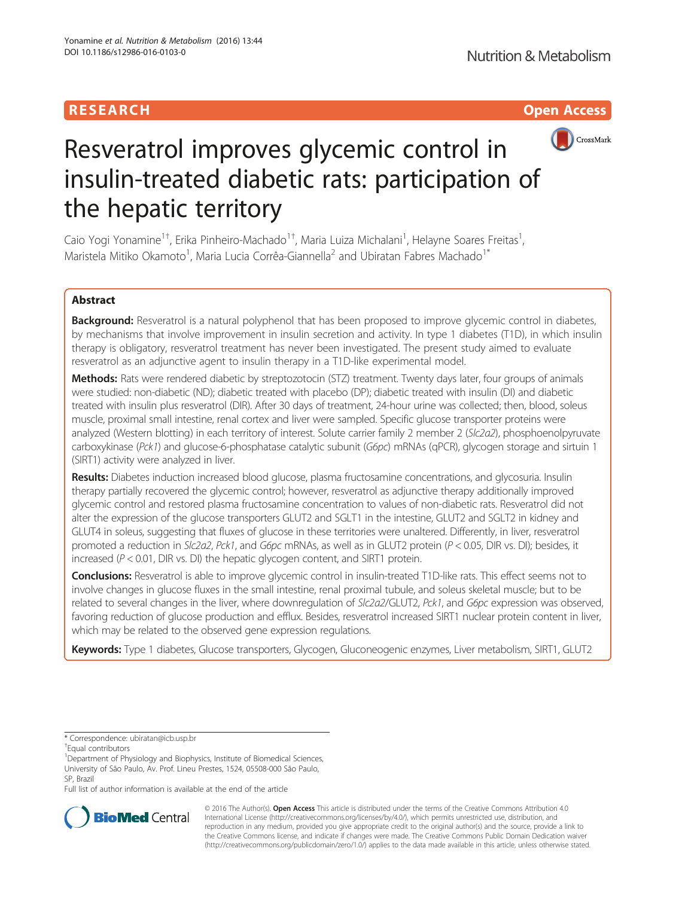## RESEARCH **RESEARCH CHOOSE ACCESS**



# Resveratrol improves glycemic control in insulin-treated diabetic rats: participation of the hepatic territory

Caio Yogi Yonamine<sup>1†</sup>, Erika Pinheiro-Machado<sup>1†</sup>, Maria Luiza Michalani<sup>1</sup>, Helayne Soares Freitas<sup>1</sup> , Maristela Mitiko Okamoto<sup>1</sup>, Maria Lucia Corrêa-Giannella<sup>2</sup> and Ubiratan Fabres Machado<sup>1\*</sup>

## Abstract

Background: Resveratrol is a natural polyphenol that has been proposed to improve glycemic control in diabetes, by mechanisms that involve improvement in insulin secretion and activity. In type 1 diabetes (T1D), in which insulin therapy is obligatory, resveratrol treatment has never been investigated. The present study aimed to evaluate resveratrol as an adjunctive agent to insulin therapy in a T1D-like experimental model.

Methods: Rats were rendered diabetic by streptozotocin (STZ) treatment. Twenty days later, four groups of animals were studied: non-diabetic (ND); diabetic treated with placebo (DP); diabetic treated with insulin (DI) and diabetic treated with insulin plus resveratrol (DIR). After 30 days of treatment, 24-hour urine was collected; then, blood, soleus muscle, proximal small intestine, renal cortex and liver were sampled. Specific glucose transporter proteins were analyzed (Western blotting) in each territory of interest. Solute carrier family 2 member 2 (Slc2a2), phosphoenolpyruvate carboxykinase (Pck1) and glucose-6-phosphatase catalytic subunit (G6pc) mRNAs (qPCR), glycogen storage and sirtuin 1 (SIRT1) activity were analyzed in liver.

Results: Diabetes induction increased blood glucose, plasma fructosamine concentrations, and glycosuria. Insulin therapy partially recovered the glycemic control; however, resveratrol as adjunctive therapy additionally improved glycemic control and restored plasma fructosamine concentration to values of non-diabetic rats. Resveratrol did not alter the expression of the glucose transporters GLUT2 and SGLT1 in the intestine, GLUT2 and SGLT2 in kidney and GLUT4 in soleus, suggesting that fluxes of glucose in these territories were unaltered. Differently, in liver, resveratrol promoted a reduction in SIc2a2, Pck1, and G6pc mRNAs, as well as in GLUT2 protein (P < 0.05, DIR vs. DI); besides, it increased ( $P < 0.01$ , DIR vs. DI) the hepatic glycogen content, and SIRT1 protein.

Conclusions: Resveratrol is able to improve glycemic control in insulin-treated T1D-like rats. This effect seems not to involve changes in glucose fluxes in the small intestine, renal proximal tubule, and soleus skeletal muscle; but to be related to several changes in the liver, where downregulation of SIc2a2/GLUT2, Pck1, and G6pc expression was observed, favoring reduction of glucose production and efflux. Besides, resveratrol increased SIRT1 nuclear protein content in liver, which may be related to the observed gene expression regulations.

Keywords: Type 1 diabetes, Glucose transporters, Glycogen, Gluconeogenic enzymes, Liver metabolism, SIRT1, GLUT2

Full list of author information is available at the end of the article



© 2016 The Author(s). Open Access This article is distributed under the terms of the Creative Commons Attribution 4.0 International License [\(http://creativecommons.org/licenses/by/4.0/](http://creativecommons.org/licenses/by/4.0/)), which permits unrestricted use, distribution, and reproduction in any medium, provided you give appropriate credit to the original author(s) and the source, provide a link to the Creative Commons license, and indicate if changes were made. The Creative Commons Public Domain Dedication waiver [\(http://creativecommons.org/publicdomain/zero/1.0/](http://creativecommons.org/publicdomain/zero/1.0/)) applies to the data made available in this article, unless otherwise stated.

<sup>\*</sup> Correspondence: [ubiratan@icb.usp.br](mailto:ubiratan@icb.usp.br) †

<sup>&</sup>lt;sup>T</sup>Equal contributors

<sup>&</sup>lt;sup>1</sup>Department of Physiology and Biophysics, Institute of Biomedical Sciences, University of São Paulo, Av. Prof. Lineu Prestes, 1524, 05508-000 São Paulo, SP, Brazil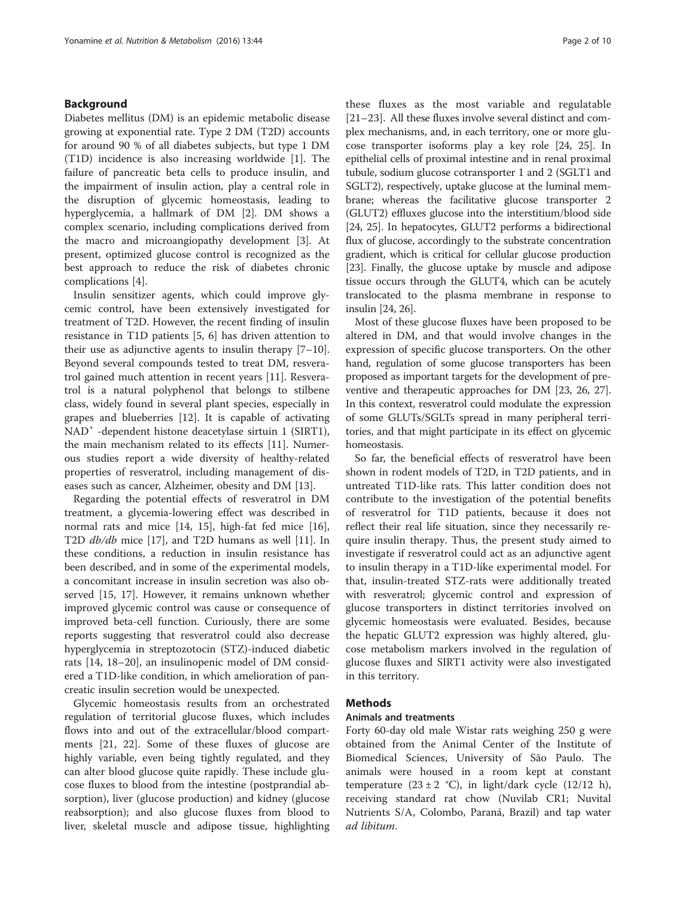## Background

Diabetes mellitus (DM) is an epidemic metabolic disease growing at exponential rate. Type 2 DM (T2D) accounts for around 90 % of all diabetes subjects, but type 1 DM (T1D) incidence is also increasing worldwide [\[1](#page-8-0)]. The failure of pancreatic beta cells to produce insulin, and the impairment of insulin action, play a central role in the disruption of glycemic homeostasis, leading to hyperglycemia, a hallmark of DM [\[2](#page-8-0)]. DM shows a complex scenario, including complications derived from the macro and microangiopathy development [\[3](#page-8-0)]. At present, optimized glucose control is recognized as the best approach to reduce the risk of diabetes chronic complications [[4\]](#page-8-0).

Insulin sensitizer agents, which could improve glycemic control, have been extensively investigated for treatment of T2D. However, the recent finding of insulin resistance in T1D patients [\[5, 6\]](#page-8-0) has driven attention to their use as adjunctive agents to insulin therapy [[7](#page-8-0)–[10](#page-8-0)]. Beyond several compounds tested to treat DM, resveratrol gained much attention in recent years [\[11](#page-8-0)]. Resveratrol is a natural polyphenol that belongs to stilbene class, widely found in several plant species, especially in grapes and blueberries [[12](#page-8-0)]. It is capable of activating NAD<sup>+</sup> -dependent histone deacetylase sirtuin 1 (SIRT1), the main mechanism related to its effects [\[11\]](#page-8-0). Numerous studies report a wide diversity of healthy-related properties of resveratrol, including management of diseases such as cancer, Alzheimer, obesity and DM [\[13\]](#page-8-0).

Regarding the potential effects of resveratrol in DM treatment, a glycemia-lowering effect was described in normal rats and mice [[14, 15](#page-8-0)], high-fat fed mice [\[16](#page-8-0)], T2D db/db mice [[17\]](#page-8-0), and T2D humans as well [\[11\]](#page-8-0). In these conditions, a reduction in insulin resistance has been described, and in some of the experimental models, a concomitant increase in insulin secretion was also observed [\[15](#page-8-0), [17](#page-8-0)]. However, it remains unknown whether improved glycemic control was cause or consequence of improved beta-cell function. Curiously, there are some reports suggesting that resveratrol could also decrease hyperglycemia in streptozotocin (STZ)-induced diabetic rats [[14](#page-8-0), [18](#page-8-0)–[20\]](#page-8-0), an insulinopenic model of DM considered a T1D-like condition, in which amelioration of pancreatic insulin secretion would be unexpected.

Glycemic homeostasis results from an orchestrated regulation of territorial glucose fluxes, which includes flows into and out of the extracellular/blood compartments [[21, 22](#page-9-0)]. Some of these fluxes of glucose are highly variable, even being tightly regulated, and they can alter blood glucose quite rapidly. These include glucose fluxes to blood from the intestine (postprandial absorption), liver (glucose production) and kidney (glucose reabsorption); and also glucose fluxes from blood to liver, skeletal muscle and adipose tissue, highlighting

these fluxes as the most variable and regulatable [[21](#page-9-0)–[23](#page-9-0)]. All these fluxes involve several distinct and complex mechanisms, and, in each territory, one or more glucose transporter isoforms play a key role [\[24](#page-9-0), [25](#page-9-0)]. In epithelial cells of proximal intestine and in renal proximal tubule, sodium glucose cotransporter 1 and 2 (SGLT1 and SGLT2), respectively, uptake glucose at the luminal membrane; whereas the facilitative glucose transporter 2 (GLUT2) effluxes glucose into the interstitium/blood side [[24](#page-9-0), [25\]](#page-9-0). In hepatocytes, GLUT2 performs a bidirectional flux of glucose, accordingly to the substrate concentration gradient, which is critical for cellular glucose production [[23](#page-9-0)]. Finally, the glucose uptake by muscle and adipose tissue occurs through the GLUT4, which can be acutely translocated to the plasma membrane in response to insulin [\[24](#page-9-0), [26](#page-9-0)].

Most of these glucose fluxes have been proposed to be altered in DM, and that would involve changes in the expression of specific glucose transporters. On the other hand, regulation of some glucose transporters has been proposed as important targets for the development of preventive and therapeutic approaches for DM [\[23, 26, 27](#page-9-0)]. In this context, resveratrol could modulate the expression of some GLUTs/SGLTs spread in many peripheral territories, and that might participate in its effect on glycemic homeostasis.

So far, the beneficial effects of resveratrol have been shown in rodent models of T2D, in T2D patients, and in untreated T1D-like rats. This latter condition does not contribute to the investigation of the potential benefits of resveratrol for T1D patients, because it does not reflect their real life situation, since they necessarily require insulin therapy. Thus, the present study aimed to investigate if resveratrol could act as an adjunctive agent to insulin therapy in a T1D-like experimental model. For that, insulin-treated STZ-rats were additionally treated with resveratrol; glycemic control and expression of glucose transporters in distinct territories involved on glycemic homeostasis were evaluated. Besides, because the hepatic GLUT2 expression was highly altered, glucose metabolism markers involved in the regulation of glucose fluxes and SIRT1 activity were also investigated in this territory.

## Methods

#### Animals and treatments

Forty 60-day old male Wistar rats weighing 250 g were obtained from the Animal Center of the Institute of Biomedical Sciences, University of São Paulo. The animals were housed in a room kept at constant temperature  $(23 \pm 2 \degree C)$ , in light/dark cycle  $(12/12 \text{ h})$ , receiving standard rat chow (Nuvilab CR1; Nuvital Nutrients S/A, Colombo, Paraná, Brazil) and tap water ad libitum.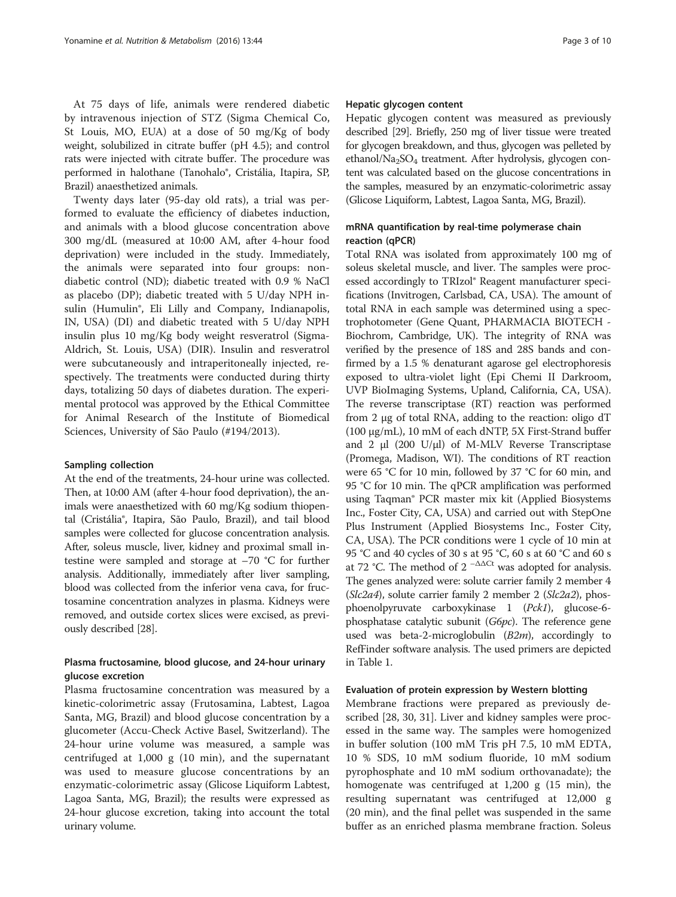At 75 days of life, animals were rendered diabetic by intravenous injection of STZ (Sigma Chemical Co, St Louis, MO, EUA) at a dose of 50 mg/Kg of body weight, solubilized in citrate buffer (pH 4.5); and control rats were injected with citrate buffer. The procedure was performed in halothane (Tanohalo®, Cristália, Itapira, SP, Brazil) anaesthetized animals.

Twenty days later (95-day old rats), a trial was performed to evaluate the efficiency of diabetes induction, and animals with a blood glucose concentration above 300 mg/dL (measured at 10:00 AM, after 4-hour food deprivation) were included in the study. Immediately, the animals were separated into four groups: nondiabetic control (ND); diabetic treated with 0.9 % NaCl as placebo (DP); diabetic treated with 5 U/day NPH insulin (Humulin®, Eli Lilly and Company, Indianapolis, IN, USA) (DI) and diabetic treated with 5 U/day NPH insulin plus 10 mg/Kg body weight resveratrol (Sigma-Aldrich, St. Louis, USA) (DIR). Insulin and resveratrol were subcutaneously and intraperitoneally injected, respectively. The treatments were conducted during thirty days, totalizing 50 days of diabetes duration. The experimental protocol was approved by the Ethical Committee for Animal Research of the Institute of Biomedical Sciences, University of São Paulo (#194/2013).

#### Sampling collection

At the end of the treatments, 24-hour urine was collected. Then, at 10:00 AM (after 4-hour food deprivation), the animals were anaesthetized with 60 mg/Kg sodium thiopental (Cristália®, Itapira, São Paulo, Brazil), and tail blood samples were collected for glucose concentration analysis. After, soleus muscle, liver, kidney and proximal small intestine were sampled and storage at –70 °C for further analysis. Additionally, immediately after liver sampling, blood was collected from the inferior vena cava, for fructosamine concentration analyzes in plasma. Kidneys were removed, and outside cortex slices were excised, as previously described [[28](#page-9-0)].

## Plasma fructosamine, blood glucose, and 24-hour urinary glucose excretion

Plasma fructosamine concentration was measured by a kinetic-colorimetric assay (Frutosamina, Labtest, Lagoa Santa, MG, Brazil) and blood glucose concentration by a glucometer (Accu-Check Active Basel, Switzerland). The 24-hour urine volume was measured, a sample was centrifuged at 1,000 g (10 min), and the supernatant was used to measure glucose concentrations by an enzymatic-colorimetric assay (Glicose Liquiform Labtest, Lagoa Santa, MG, Brazil); the results were expressed as 24-hour glucose excretion, taking into account the total urinary volume.

#### Hepatic glycogen content

Hepatic glycogen content was measured as previously described [\[29\]](#page-9-0). Briefly, 250 mg of liver tissue were treated for glycogen breakdown, and thus, glycogen was pelleted by ethanol/Na<sub>2</sub>SO<sub>4</sub> treatment. After hydrolysis, glycogen content was calculated based on the glucose concentrations in the samples, measured by an enzymatic-colorimetric assay (Glicose Liquiform, Labtest, Lagoa Santa, MG, Brazil).

## mRNA quantification by real-time polymerase chain reaction (qPCR)

Total RNA was isolated from approximately 100 mg of soleus skeletal muscle, and liver. The samples were processed accordingly to TRIzol® Reagent manufacturer specifications (Invitrogen, Carlsbad, CA, USA). The amount of total RNA in each sample was determined using a spectrophotometer (Gene Quant, PHARMACIA BIOTECH - Biochrom, Cambridge, UK). The integrity of RNA was verified by the presence of 18S and 28S bands and confirmed by a 1.5 % denaturant agarose gel electrophoresis exposed to ultra-violet light (Epi Chemi II Darkroom, UVP BioImaging Systems, Upland, California, CA, USA). The reverse transcriptase (RT) reaction was performed from 2 μg of total RNA, adding to the reaction: oligo dT (100 μg/mL), 10 mM of each dNTP, 5X First-Strand buffer and 2 μl (200 U/μl) of M-MLV Reverse Transcriptase (Promega, Madison, WI). The conditions of RT reaction were 65 °C for 10 min, followed by 37 °C for 60 min, and 95 °C for 10 min. The qPCR amplification was performed using Taqman® PCR master mix kit (Applied Biosystems Inc., Foster City, CA, USA) and carried out with StepOne Plus Instrument (Applied Biosystems Inc., Foster City, CA, USA). The PCR conditions were 1 cycle of 10 min at 95 °C and 40 cycles of 30 s at 95 °C, 60 s at 60 °C and 60 s at 72 °C. The method of  $2^{-\Delta\Delta Ct}$  was adopted for analysis. The genes analyzed were: solute carrier family 2 member 4 ( $Slc2a4$ ), solute carrier family 2 member 2 ( $Slc2a2$ ), phosphoenolpyruvate carboxykinase 1 (Pck1), glucose-6 phosphatase catalytic subunit (G6pc). The reference gene used was beta-2-microglobulin  $(B2m)$ , accordingly to RefFinder software analysis. The used primers are depicted in Table [1](#page-3-0).

#### Evaluation of protein expression by Western blotting

Membrane fractions were prepared as previously described [[28, 30, 31\]](#page-9-0). Liver and kidney samples were processed in the same way. The samples were homogenized in buffer solution (100 mM Tris pH 7.5, 10 mM EDTA, 10 % SDS, 10 mM sodium fluoride, 10 mM sodium pyrophosphate and 10 mM sodium orthovanadate); the homogenate was centrifuged at 1,200 g (15 min), the resulting supernatant was centrifuged at 12,000 g (20 min), and the final pellet was suspended in the same buffer as an enriched plasma membrane fraction. Soleus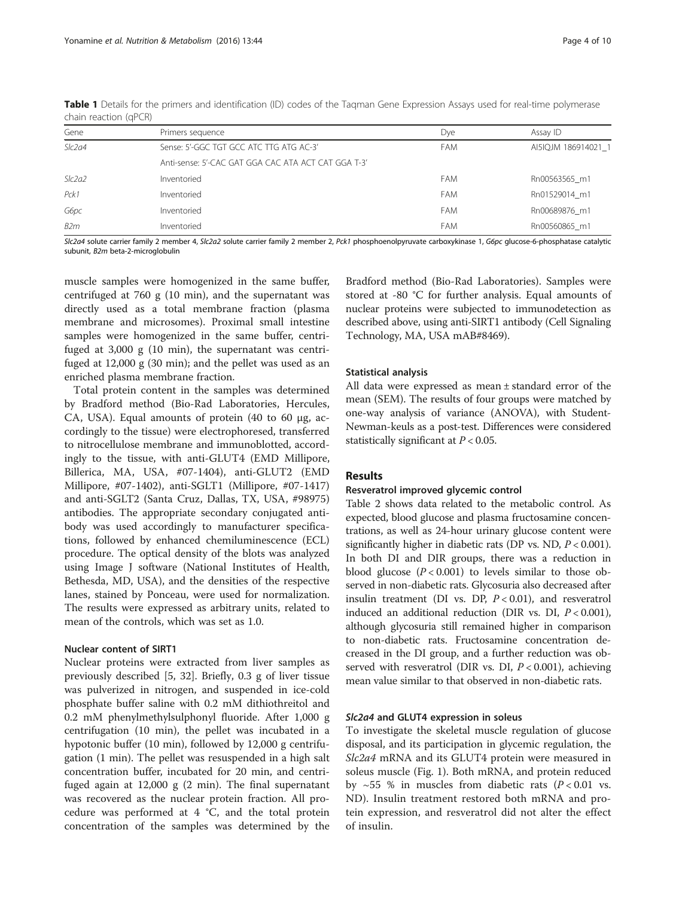| Gene   | Primers sequence                                    | Dye        | Assay ID            |
|--------|-----------------------------------------------------|------------|---------------------|
| Slc2a4 | Sense: 5'-GGC TGT GCC ATC TTG ATG AC-3'             | <b>FAM</b> | AI5IQJM 186914021 1 |
|        | Anti-sense: 5'-CAC GAT GGA CAC ATA ACT CAT GGA T-3' |            |                     |
| Slc2a2 | Inventoried                                         | FAM        | Rn00563565 m1       |
| Pck1   | Inventoried                                         | <b>FAM</b> | Rn01529014 m1       |
| G6pc   | Inventoried                                         | <b>FAM</b> | Rn00689876 m1       |
| B2m    | Inventoried                                         | FAM        | Rn00560865 m1       |
|        |                                                     |            |                     |

<span id="page-3-0"></span>Table 1 Details for the primers and identification (ID) codes of the Taqman Gene Expression Assays used for real-time polymerase chain reaction (qPCR)

SIc2a4 solute carrier family 2 member 4, SIc2a2 solute carrier family 2 member 2, Pck1 phosphoenolpyruvate carboxykinase 1, G6pc glucose-6-phosphatase catalytic subunit, B2m beta-2-microglobulin

muscle samples were homogenized in the same buffer, centrifuged at 760 g (10 min), and the supernatant was directly used as a total membrane fraction (plasma membrane and microsomes). Proximal small intestine samples were homogenized in the same buffer, centrifuged at 3,000 g (10 min), the supernatant was centrifuged at 12,000 g (30 min); and the pellet was used as an enriched plasma membrane fraction.

Total protein content in the samples was determined by Bradford method (Bio-Rad Laboratories, Hercules, CA, USA). Equal amounts of protein  $(40 \text{ to } 60 \mu g, \text{ ac-}$ cordingly to the tissue) were electrophoresed, transferred to nitrocellulose membrane and immunoblotted, accordingly to the tissue, with anti-GLUT4 (EMD Millipore, Billerica, MA, USA, #07-1404), anti-GLUT2 (EMD Millipore, #07-1402), anti-SGLT1 (Millipore, #07-1417) and anti-SGLT2 (Santa Cruz, Dallas, TX, USA, #98975) antibodies. The appropriate secondary conjugated antibody was used accordingly to manufacturer specifications, followed by enhanced chemiluminescence (ECL) procedure. The optical density of the blots was analyzed using Image J software (National Institutes of Health, Bethesda, MD, USA), and the densities of the respective lanes, stained by Ponceau, were used for normalization. The results were expressed as arbitrary units, related to mean of the controls, which was set as 1.0.

### Nuclear content of SIRT1

Nuclear proteins were extracted from liver samples as previously described [[5,](#page-8-0) [32\]](#page-9-0). Briefly, 0.3 g of liver tissue was pulverized in nitrogen, and suspended in ice-cold phosphate buffer saline with 0.2 mM dithiothreitol and 0.2 mM phenylmethylsulphonyl fluoride. After 1,000 g centrifugation (10 min), the pellet was incubated in a hypotonic buffer (10 min), followed by 12,000 g centrifugation (1 min). The pellet was resuspended in a high salt concentration buffer, incubated for 20 min, and centrifuged again at 12,000 g (2 min). The final supernatant was recovered as the nuclear protein fraction. All procedure was performed at 4 °C, and the total protein concentration of the samples was determined by the Bradford method (Bio-Rad Laboratories). Samples were stored at -80 °C for further analysis. Equal amounts of nuclear proteins were subjected to immunodetection as described above, using anti-SIRT1 antibody (Cell Signaling Technology, MA, USA mAB#8469).

#### Statistical analysis

All data were expressed as mean ± standard error of the mean (SEM). The results of four groups were matched by one-way analysis of variance (ANOVA), with Student-Newman-keuls as a post-test. Differences were considered statistically significant at  $P < 0.05$ .

### Results

## Resveratrol improved glycemic control

Table [2](#page-4-0) shows data related to the metabolic control. As expected, blood glucose and plasma fructosamine concentrations, as well as 24-hour urinary glucose content were significantly higher in diabetic rats (DP vs. ND,  $P < 0.001$ ). In both DI and DIR groups, there was a reduction in blood glucose  $(P < 0.001)$  to levels similar to those observed in non-diabetic rats. Glycosuria also decreased after insulin treatment (DI vs. DP,  $P < 0.01$ ), and resveratrol induced an additional reduction (DIR vs. DI,  $P < 0.001$ ), although glycosuria still remained higher in comparison to non-diabetic rats. Fructosamine concentration decreased in the DI group, and a further reduction was observed with resveratrol (DIR vs. DI,  $P < 0.001$ ), achieving mean value similar to that observed in non-diabetic rats.

## Slc2a4 and GLUT4 expression in soleus

To investigate the skeletal muscle regulation of glucose disposal, and its participation in glycemic regulation, the Slc2a4 mRNA and its GLUT4 protein were measured in soleus muscle (Fig. [1](#page-4-0)). Both mRNA, and protein reduced by  $\sim$  55 % in muscles from diabetic rats ( $P$  < 0.01 vs. ND). Insulin treatment restored both mRNA and protein expression, and resveratrol did not alter the effect of insulin.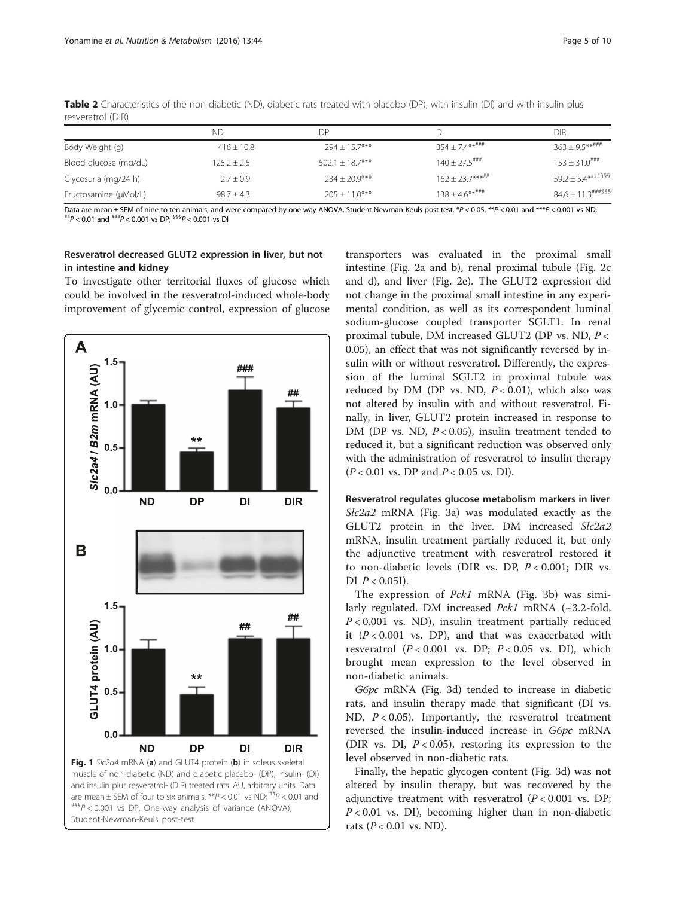|                       | ΝD             | DР                | DΙ                          | DIR                                                         |
|-----------------------|----------------|-------------------|-----------------------------|-------------------------------------------------------------|
| Body Weight (g)       | $416 \pm 10.8$ | $294 \pm 15.7***$ | $354 + 7.4***$              | $363 + 9.5***$ ###                                          |
| Blood glucose (mg/dL) | $125.2 + 2.5$  | $502.1 + 18.7***$ | $140 + 27.5$ <sup>###</sup> | $153 + 31.0$ <sup>###</sup>                                 |
| Glycosuria (mg/24 h)  | $2.7 \pm 0.9$  | $234 + 20.9***$   | $162 + 23.7******$          | $59.2 \pm 5.4$ *****§§§                                     |
| Fructosamine (µMol/L) | $98.7 + 4.3$   | $205 + 11.0***$   | $138 + 4.6***$              | $84.6 + 11.3$ <sup>\\\ters\test{\sigma_n\$\$\$\$\$}\$</sup> |

<span id="page-4-0"></span>Table 2 Characteristics of the non-diabetic (ND), diabetic rats treated with placebo (DP), with insulin (DI) and with insulin plus resveratrol (DIR)

Data are mean  $\pm$  SEM of nine to ten animals, and were compared by one-way ANOVA, Student Newman-Keuls post test. \*P < 0.05, \*\*P < 0.01 and \*\*\*P < 0.001 vs ND;<br>##P < 0.01 and ###P < 0.001 vs DP;  $^{655}P$  < 0.001 vs DI

## Resveratrol decreased GLUT2 expression in liver, but not in intestine and kidney

To investigate other territorial fluxes of glucose which could be involved in the resveratrol-induced whole-body improvement of glycemic control, expression of glucose



Student-Newman-Keuls post-test

transporters was evaluated in the proximal small intestine (Fig. [2a](#page-5-0) and [b](#page-5-0)), renal proximal tubule (Fig. [2c](#page-5-0) and [d](#page-5-0)), and liver (Fig. [2e\)](#page-5-0). The GLUT2 expression did not change in the proximal small intestine in any experimental condition, as well as its correspondent luminal sodium-glucose coupled transporter SGLT1. In renal proximal tubule, DM increased GLUT2 (DP vs. ND, P < 0.05), an effect that was not significantly reversed by insulin with or without resveratrol. Differently, the expression of the luminal SGLT2 in proximal tubule was reduced by DM (DP vs. ND,  $P < 0.01$ ), which also was not altered by insulin with and without resveratrol. Finally, in liver, GLUT2 protein increased in response to DM (DP vs. ND,  $P < 0.05$ ), insulin treatment tended to reduced it, but a significant reduction was observed only with the administration of resveratrol to insulin therapy  $(P < 0.01$  vs. DP and  $P < 0.05$  vs. DI).

Resveratrol regulates glucose metabolism markers in liver Slc2a2 mRNA (Fig. [3a](#page-6-0)) was modulated exactly as the GLUT2 protein in the liver. DM increased Slc2a2 mRNA, insulin treatment partially reduced it, but only the adjunctive treatment with resveratrol restored it to non-diabetic levels (DIR vs. DP,  $P < 0.001$ ; DIR vs. DI  $P < 0.05$ I).

The expression of Pck1 mRNA (Fig. [3b\)](#page-6-0) was similarly regulated. DM increased Pck1 mRNA (~3.2-fold,  $P < 0.001$  vs. ND), insulin treatment partially reduced it  $(P < 0.001$  vs. DP), and that was exacerbated with resveratrol  $(P < 0.001$  vs. DP;  $P < 0.05$  vs. DI), which brought mean expression to the level observed in non-diabetic animals.

G6pc mRNA (Fig. [3d\)](#page-6-0) tended to increase in diabetic rats, and insulin therapy made that significant (DI vs. ND,  $P < 0.05$ ). Importantly, the resveratrol treatment reversed the insulin-induced increase in G6pc mRNA (DIR vs. DI,  $P < 0.05$ ), restoring its expression to the level observed in non-diabetic rats.

Finally, the hepatic glycogen content (Fig. [3d\)](#page-6-0) was not altered by insulin therapy, but was recovered by the adjunctive treatment with resveratrol  $(P < 0.001$  vs. DP;  $P < 0.01$  vs. DI), becoming higher than in non-diabetic rats ( $P < 0.01$  vs. ND).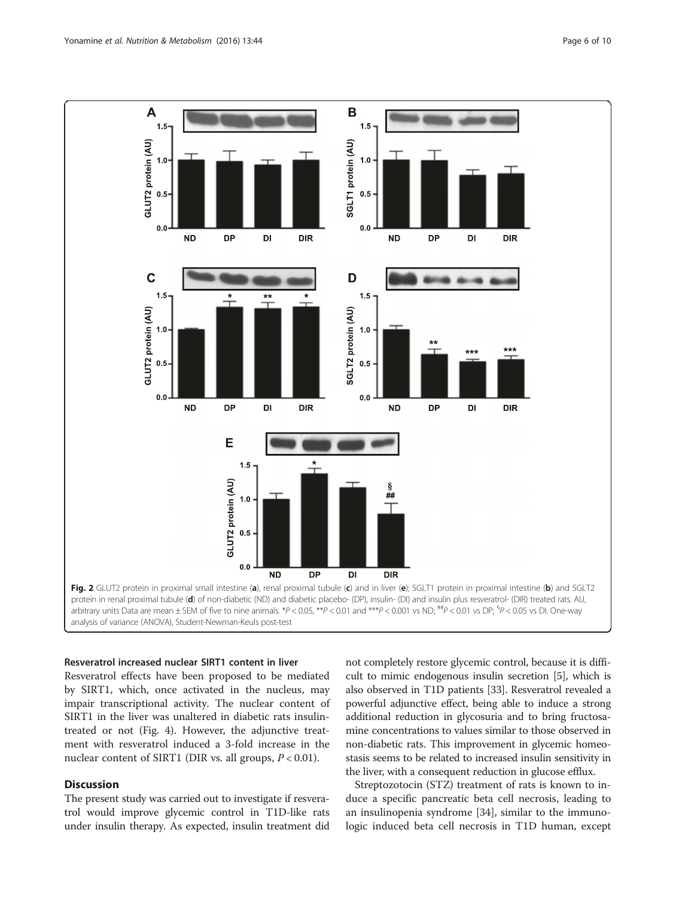<span id="page-5-0"></span>

#### Resveratrol increased nuclear SIRT1 content in liver

Resveratrol effects have been proposed to be mediated by SIRT1, which, once activated in the nucleus, may impair transcriptional activity. The nuclear content of SIRT1 in the liver was unaltered in diabetic rats insulintreated or not (Fig. [4](#page-6-0)). However, the adjunctive treatment with resveratrol induced a 3-fold increase in the nuclear content of SIRT1 (DIR vs. all groups,  $P < 0.01$ ).

## **Discussion**

The present study was carried out to investigate if resveratrol would improve glycemic control in T1D-like rats under insulin therapy. As expected, insulin treatment did not completely restore glycemic control, because it is difficult to mimic endogenous insulin secretion [[5](#page-8-0)], which is also observed in T1D patients [\[33](#page-9-0)]. Resveratrol revealed a powerful adjunctive effect, being able to induce a strong additional reduction in glycosuria and to bring fructosamine concentrations to values similar to those observed in non-diabetic rats. This improvement in glycemic homeostasis seems to be related to increased insulin sensitivity in the liver, with a consequent reduction in glucose efflux.

Streptozotocin (STZ) treatment of rats is known to induce a specific pancreatic beta cell necrosis, leading to an insulinopenia syndrome [[34\]](#page-9-0), similar to the immunologic induced beta cell necrosis in T1D human, except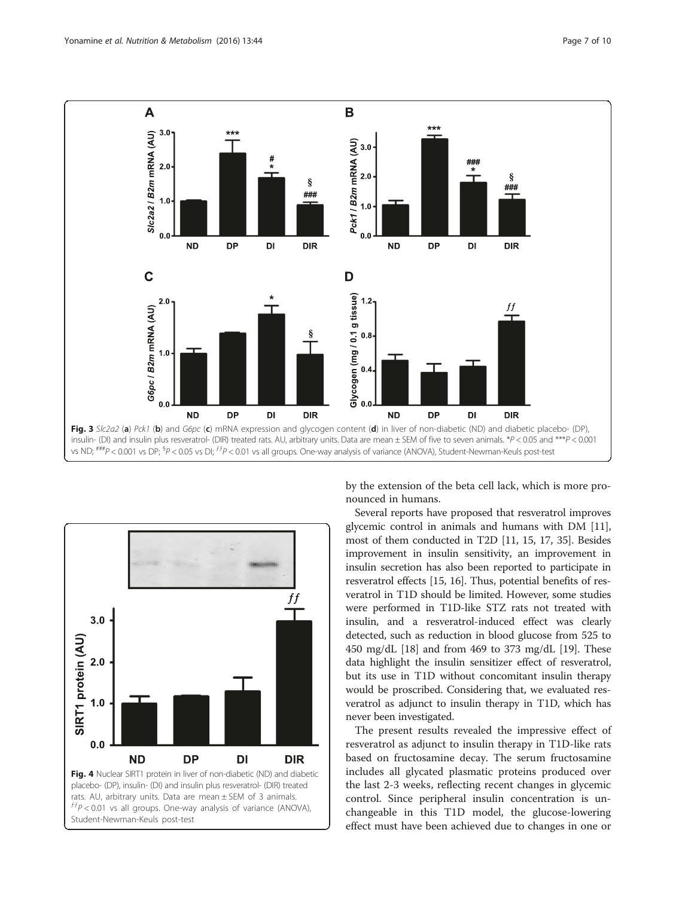<span id="page-6-0"></span>



by the extension of the beta cell lack, which is more pronounced in humans.

Several reports have proposed that resveratrol improves glycemic control in animals and humans with DM [[11](#page-8-0)], most of them conducted in T2D [\[11, 15](#page-8-0), [17](#page-8-0), [35](#page-9-0)]. Besides improvement in insulin sensitivity, an improvement in insulin secretion has also been reported to participate in resveratrol effects [[15](#page-8-0), [16](#page-8-0)]. Thus, potential benefits of resveratrol in T1D should be limited. However, some studies were performed in T1D-like STZ rats not treated with insulin, and a resveratrol-induced effect was clearly detected, such as reduction in blood glucose from 525 to 450 mg/dL [\[18](#page-8-0)] and from 469 to 373 mg/dL [\[19\]](#page-8-0). These data highlight the insulin sensitizer effect of resveratrol, but its use in T1D without concomitant insulin therapy would be proscribed. Considering that, we evaluated resveratrol as adjunct to insulin therapy in T1D, which has never been investigated.

The present results revealed the impressive effect of resveratrol as adjunct to insulin therapy in T1D-like rats based on fructosamine decay. The serum fructosamine includes all glycated plasmatic proteins produced over the last 2-3 weeks, reflecting recent changes in glycemic control. Since peripheral insulin concentration is unchangeable in this T1D model, the glucose-lowering effect must have been achieved due to changes in one or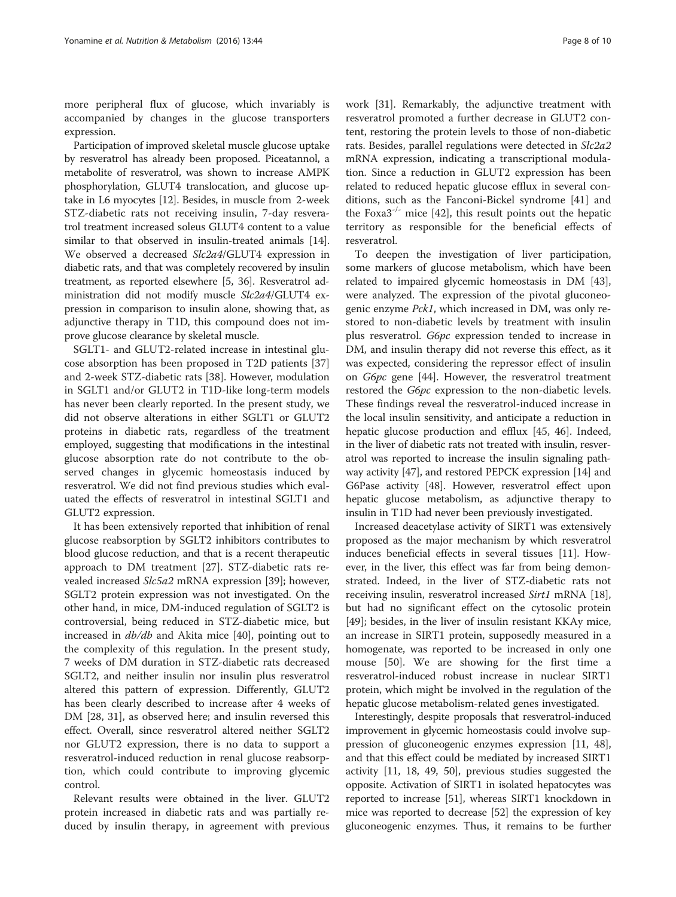more peripheral flux of glucose, which invariably is accompanied by changes in the glucose transporters expression.

Participation of improved skeletal muscle glucose uptake by resveratrol has already been proposed. Piceatannol, a metabolite of resveratrol, was shown to increase AMPK phosphorylation, GLUT4 translocation, and glucose uptake in L6 myocytes [\[12\]](#page-8-0). Besides, in muscle from 2-week STZ-diabetic rats not receiving insulin, 7-day resveratrol treatment increased soleus GLUT4 content to a value similar to that observed in insulin-treated animals [[14](#page-8-0)]. We observed a decreased Slc2a4/GLUT4 expression in diabetic rats, and that was completely recovered by insulin treatment, as reported elsewhere [[5,](#page-8-0) [36](#page-9-0)]. Resveratrol administration did not modify muscle Slc2a4/GLUT4 expression in comparison to insulin alone, showing that, as adjunctive therapy in T1D, this compound does not improve glucose clearance by skeletal muscle.

SGLT1- and GLUT2-related increase in intestinal glucose absorption has been proposed in T2D patients [[37](#page-9-0)] and 2-week STZ-diabetic rats [\[38](#page-9-0)]. However, modulation in SGLT1 and/or GLUT2 in T1D-like long-term models has never been clearly reported. In the present study, we did not observe alterations in either SGLT1 or GLUT2 proteins in diabetic rats, regardless of the treatment employed, suggesting that modifications in the intestinal glucose absorption rate do not contribute to the observed changes in glycemic homeostasis induced by resveratrol. We did not find previous studies which evaluated the effects of resveratrol in intestinal SGLT1 and GLUT2 expression.

It has been extensively reported that inhibition of renal glucose reabsorption by SGLT2 inhibitors contributes to blood glucose reduction, and that is a recent therapeutic approach to DM treatment [\[27](#page-9-0)]. STZ-diabetic rats revealed increased Slc5a2 mRNA expression [[39\]](#page-9-0); however, SGLT2 protein expression was not investigated. On the other hand, in mice, DM-induced regulation of SGLT2 is controversial, being reduced in STZ-diabetic mice, but increased in db/db and Akita mice [[40](#page-9-0)], pointing out to the complexity of this regulation. In the present study, 7 weeks of DM duration in STZ-diabetic rats decreased SGLT2, and neither insulin nor insulin plus resveratrol altered this pattern of expression. Differently, GLUT2 has been clearly described to increase after 4 weeks of DM [[28](#page-9-0), [31\]](#page-9-0), as observed here; and insulin reversed this effect. Overall, since resveratrol altered neither SGLT2 nor GLUT2 expression, there is no data to support a resveratrol-induced reduction in renal glucose reabsorption, which could contribute to improving glycemic control.

Relevant results were obtained in the liver. GLUT2 protein increased in diabetic rats and was partially reduced by insulin therapy, in agreement with previous work [[31\]](#page-9-0). Remarkably, the adjunctive treatment with resveratrol promoted a further decrease in GLUT2 content, restoring the protein levels to those of non-diabetic rats. Besides, parallel regulations were detected in Slc2a2 mRNA expression, indicating a transcriptional modulation. Since a reduction in GLUT2 expression has been related to reduced hepatic glucose efflux in several conditions, such as the Fanconi-Bickel syndrome [[41\]](#page-9-0) and the Foxa $3^{-/-}$  mice [\[42](#page-9-0)], this result points out the hepatic territory as responsible for the beneficial effects of resveratrol.

To deepen the investigation of liver participation, some markers of glucose metabolism, which have been related to impaired glycemic homeostasis in DM [\[43](#page-9-0)], were analyzed. The expression of the pivotal gluconeogenic enzyme Pck1, which increased in DM, was only restored to non-diabetic levels by treatment with insulin plus resveratrol. G6pc expression tended to increase in DM, and insulin therapy did not reverse this effect, as it was expected, considering the repressor effect of insulin on G6pc gene [[44](#page-9-0)]. However, the resveratrol treatment restored the G6pc expression to the non-diabetic levels. These findings reveal the resveratrol-induced increase in the local insulin sensitivity, and anticipate a reduction in hepatic glucose production and efflux [[45](#page-9-0), [46\]](#page-9-0). Indeed, in the liver of diabetic rats not treated with insulin, resveratrol was reported to increase the insulin signaling pathway activity [\[47\]](#page-9-0), and restored PEPCK expression [\[14\]](#page-8-0) and G6Pase activity [\[48\]](#page-9-0). However, resveratrol effect upon hepatic glucose metabolism, as adjunctive therapy to insulin in T1D had never been previously investigated.

Increased deacetylase activity of SIRT1 was extensively proposed as the major mechanism by which resveratrol induces beneficial effects in several tissues [\[11](#page-8-0)]. However, in the liver, this effect was far from being demonstrated. Indeed, in the liver of STZ-diabetic rats not receiving insulin, resveratrol increased Sirt1 mRNA [\[18](#page-8-0)], but had no significant effect on the cytosolic protein [[49\]](#page-9-0); besides, in the liver of insulin resistant KKAy mice, an increase in SIRT1 protein, supposedly measured in a homogenate, was reported to be increased in only one mouse [[50\]](#page-9-0). We are showing for the first time a resveratrol-induced robust increase in nuclear SIRT1 protein, which might be involved in the regulation of the hepatic glucose metabolism-related genes investigated.

Interestingly, despite proposals that resveratrol-induced improvement in glycemic homeostasis could involve suppression of gluconeogenic enzymes expression [\[11,](#page-8-0) [48](#page-9-0)], and that this effect could be mediated by increased SIRT1 activity [\[11, 18](#page-8-0), [49](#page-9-0), [50\]](#page-9-0), previous studies suggested the opposite. Activation of SIRT1 in isolated hepatocytes was reported to increase [\[51\]](#page-9-0), whereas SIRT1 knockdown in mice was reported to decrease [[52](#page-9-0)] the expression of key gluconeogenic enzymes. Thus, it remains to be further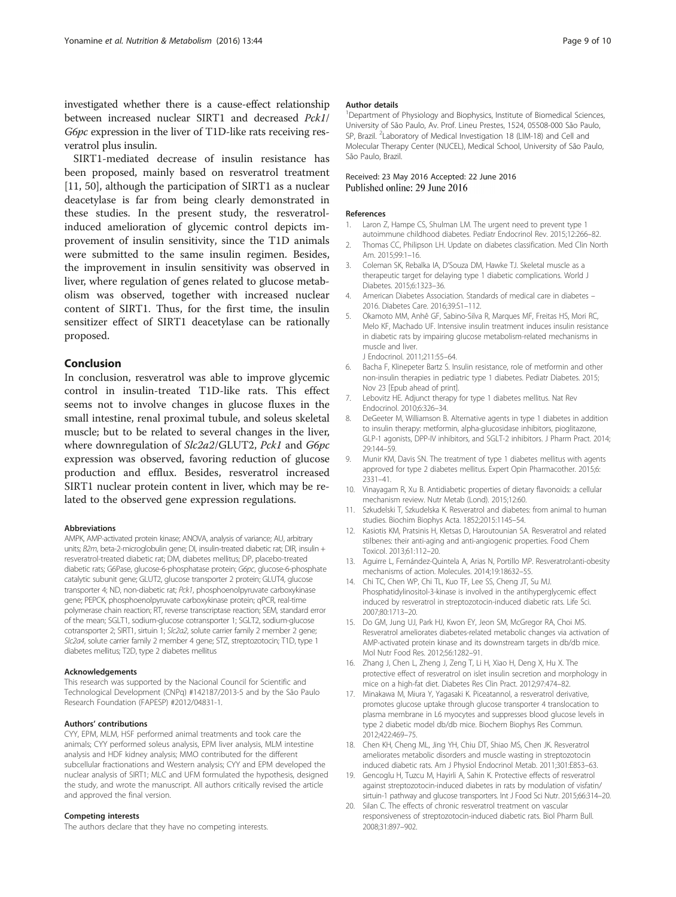<span id="page-8-0"></span>investigated whether there is a cause-effect relationship between increased nuclear SIRT1 and decreased Pck1/ G6pc expression in the liver of T1D-like rats receiving resveratrol plus insulin.

SIRT1-mediated decrease of insulin resistance has been proposed, mainly based on resveratrol treatment [11, [50\]](#page-9-0), although the participation of SIRT1 as a nuclear deacetylase is far from being clearly demonstrated in these studies. In the present study, the resveratrolinduced amelioration of glycemic control depicts improvement of insulin sensitivity, since the T1D animals were submitted to the same insulin regimen. Besides, the improvement in insulin sensitivity was observed in liver, where regulation of genes related to glucose metabolism was observed, together with increased nuclear content of SIRT1. Thus, for the first time, the insulin sensitizer effect of SIRT1 deacetylase can be rationally proposed.

#### Conclusion

In conclusion, resveratrol was able to improve glycemic control in insulin-treated T1D-like rats. This effect seems not to involve changes in glucose fluxes in the small intestine, renal proximal tubule, and soleus skeletal muscle; but to be related to several changes in the liver, where downregulation of Slc2a2/GLUT2, Pck1 and G6pc expression was observed, favoring reduction of glucose production and efflux. Besides, resveratrol increased SIRT1 nuclear protein content in liver, which may be related to the observed gene expression regulations.

#### Abbreviations

AMPK, AMP-activated protein kinase; ANOVA, analysis of variance; AU, arbitrary units; B2m, beta-2-microglobulin gene; DI, insulin-treated diabetic rat; DIR, insulin + resveratrol-treated diabetic rat; DM, diabetes mellitus; DP, placebo-treated diabetic rats; G6Pase, glucose-6-phosphatase protein; G6pc, glucose-6-phosphate catalytic subunit gene; GLUT2, glucose transporter 2 protein; GLUT4, glucose transporter 4; ND, non-diabetic rat; Pck1, phosphoenolpyruvate carboxykinase gene; PEPCK, phosphoenolpyruvate carboxykinase protein; qPCR, real-time polymerase chain reaction; RT, reverse transcriptase reaction; SEM, standard error of the mean; SGLT1, sodium-glucose cotransporter 1; SGLT2, sodium-glucose cotransporter 2; SIRT1, sirtuin 1; Slc2a2, solute carrier family 2 member 2 gene; Slc2a4, solute carrier family 2 member 4 gene; STZ, streptozotocin; T1D, type 1 diabetes mellitus; T2D, type 2 diabetes mellitus

#### Acknowledgements

This research was supported by the Nacional Council for Scientific and Technological Development (CNPq) #142187/2013-5 and by the São Paulo Research Foundation (FAPESP) #2012/04831-1.

#### Authors' contributions

CYY, EPM, MLM, HSF performed animal treatments and took care the animals; CYY performed soleus analysis, EPM liver analysis, MLM intestine analysis and HDF kidney analysis; MMO contributed for the different subcellular fractionations and Western analysis; CYY and EPM developed the nuclear analysis of SIRT1; MLC and UFM formulated the hypothesis, designed the study, and wrote the manuscript. All authors critically revised the article and approved the final version.

#### Competing interests

The authors declare that they have no competing interests.

#### Author details

<sup>1</sup>Department of Physiology and Biophysics, Institute of Biomedical Sciences, University of São Paulo, Av. Prof. Lineu Prestes, 1524, 05508-000 São Paulo, SP, Brazil. <sup>2</sup> Laboratory of Medical Investigation 18 (LIM-18) and Cell and Molecular Therapy Center (NUCEL), Medical School, University of São Paulo, São Paulo, Brazil.

#### Received: 23 May 2016 Accepted: 22 June 2016 Published online: 29 June 2016

#### References

- 1. Laron Z, Hampe CS, Shulman LM. The urgent need to prevent type 1 autoimmune childhood diabetes. Pediatr Endocrinol Rev. 2015;12:266–82.
- 2. Thomas CC, Philipson LH. Update on diabetes classification. Med Clin North Am. 2015;99:1–16.
- 3. Coleman SK, Rebalka IA, D'Souza DM, Hawke TJ. Skeletal muscle as a therapeutic target for delaying type 1 diabetic complications. World J Diabetes. 2015;6:1323–36.
- 4. American Diabetes Association. Standards of medical care in diabetes 2016. Diabetes Care. 2016;39:S1–112.
- 5. Okamoto MM, Anhê GF, Sabino-Silva R, Marques MF, Freitas HS, Mori RC, Melo KF, Machado UF. Intensive insulin treatment induces insulin resistance in diabetic rats by impairing glucose metabolism-related mechanisms in muscle and liver. J Endocrinol. 2011;211:55–64.
- 6. Bacha F, Klinepeter Bartz S. Insulin resistance, role of metformin and other non-insulin therapies in pediatric type 1 diabetes. Pediatr Diabetes. 2015; Nov 23 [Epub ahead of print].
- 7. Lebovitz HE. Adjunct therapy for type 1 diabetes mellitus. Nat Rev Endocrinol. 2010;6:326–34.
- 8. DeGeeter M, Williamson B. Alternative agents in type 1 diabetes in addition to insulin therapy: metformin, alpha-glucosidase inhibitors, pioglitazone, GLP-1 agonists, DPP-IV inhibitors, and SGLT-2 inhibitors. J Pharm Pract. 2014; 29:144–59.
- 9. Munir KM, Davis SN. The treatment of type 1 diabetes mellitus with agents approved for type 2 diabetes mellitus. Expert Opin Pharmacother. 2015;6: 2331–41.
- 10. Vinayagam R, Xu B. Antidiabetic properties of dietary flavonoids: a cellular mechanism review. Nutr Metab (Lond). 2015;12:60.
- 11. Szkudelski T, Szkudelska K. Resveratrol and diabetes: from animal to human studies. Biochim Biophys Acta. 1852;2015:1145–54.
- 12. Kasiotis KM, Pratsinis H, Kletsas D, Haroutounian SA. Resveratrol and related stilbenes: their anti-aging and anti-angiogenic properties. Food Chem Toxicol. 2013;61:112–20.
- 13. Aguirre L, Fernández-Quintela A, Arias N, Portillo MP. Resveratrol:anti-obesity mechanisms of action. Molecules. 2014;19:18632–55.
- 14. Chi TC, Chen WP, Chi TL, Kuo TF, Lee SS, Cheng JT, Su MJ. Phosphatidylinositol-3-kinase is involved in the antihyperglycemic effect induced by resveratrol in streptozotocin-induced diabetic rats. Life Sci. 2007;80:1713–20.
- 15. Do GM, Jung UJ, Park HJ, Kwon EY, Jeon SM, McGregor RA, Choi MS. Resveratrol ameliorates diabetes-related metabolic changes via activation of AMP-activated protein kinase and its downstream targets in db/db mice. Mol Nutr Food Res. 2012;56:1282–91.
- 16. Zhang J, Chen L, Zheng J, Zeng T, Li H, Xiao H, Deng X, Hu X. The protective effect of resveratrol on islet insulin secretion and morphology in mice on a high-fat diet. Diabetes Res Clin Pract. 2012;97:474–82.
- 17. Minakawa M, Miura Y, Yagasaki K. Piceatannol, a resveratrol derivative, promotes glucose uptake through glucose transporter 4 translocation to plasma membrane in L6 myocytes and suppresses blood glucose levels in type 2 diabetic model db/db mice. Biochem Biophys Res Commun. 2012;422:469–75.
- 18. Chen KH, Cheng ML, Jing YH, Chiu DT, Shiao MS, Chen JK. Resveratrol ameliorates metabolic disorders and muscle wasting in streptozotocin induced diabetic rats. Am J Physiol Endocrinol Metab. 2011;301:E853–63.
- 19. Gencoglu H, Tuzcu M, Hayirli A, Sahin K. Protective effects of resveratrol against streptozotocin-induced diabetes in rats by modulation of visfatin/ sirtuin-1 pathway and glucose transporters. Int J Food Sci Nutr. 2015;66:314–20.
- 20. Silan C. The effects of chronic resveratrol treatment on vascular responsiveness of streptozotocin-induced diabetic rats. Biol Pharm Bull. 2008;31:897–902.